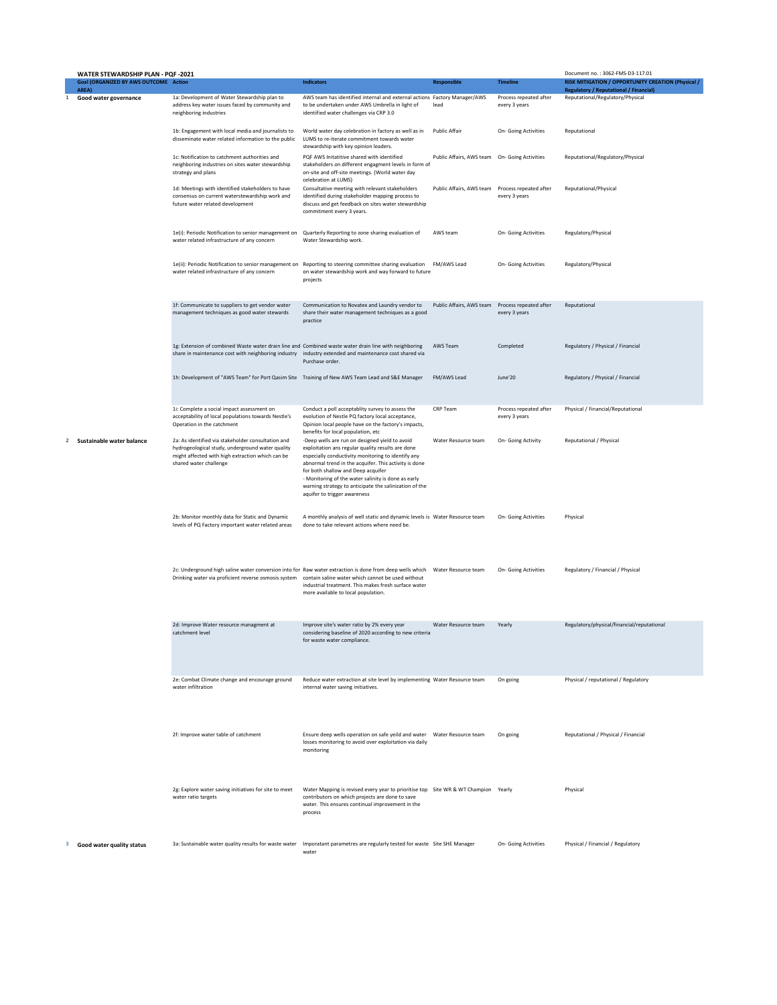| WATER STEWARDSHIP PLAN - PQF -2021 |                                                       |                                                                                                                                                                                                                                        |                                                                                                                                                                                                                                                                                                                                                                                                           |                          |                                         | Document no.: 3062-FMS-D3-117.01                                                                    |
|------------------------------------|-------------------------------------------------------|----------------------------------------------------------------------------------------------------------------------------------------------------------------------------------------------------------------------------------------|-----------------------------------------------------------------------------------------------------------------------------------------------------------------------------------------------------------------------------------------------------------------------------------------------------------------------------------------------------------------------------------------------------------|--------------------------|-----------------------------------------|-----------------------------------------------------------------------------------------------------|
|                                    | <b>Goal (ORGANIZED BY AWS OUTCOME Action</b><br>AREA) |                                                                                                                                                                                                                                        | <b>Indicators</b>                                                                                                                                                                                                                                                                                                                                                                                         | <b>Responsible</b>       | <b>Timeline</b>                         | RISK MITIGATION / OPPORTUNITY CREATION (Physical /<br><b>Regulatory / Reputational / Financial)</b> |
| 1                                  | Good water governance                                 | 1a: Development of Water Stewardship plan to<br>address key water issues faced by community and<br>neighboring industries                                                                                                              | AWS team has identified internal and external actions Factory Manager/AWS<br>to be undertaken under AWS Umbrella in light of<br>identified water challenges via CRP 3.0                                                                                                                                                                                                                                   | lead                     | Process repeated after<br>every 3 years | Reputational/Regulatory/Physical                                                                    |
|                                    |                                                       | 1b: Engagement with local media and journalists to<br>disseminate water related information to the public                                                                                                                              | World water day celebration in factory as well as in<br>LUMS to re-iterate commitment towards water<br>stewardship with key opinion leaders.                                                                                                                                                                                                                                                              | <b>Public Affair</b>     | On- Going Activities                    | Reputational                                                                                        |
|                                    |                                                       | 1c: Notification to catchment authorities and<br>neighboring industries on sites water stewardship<br>strategy and plans                                                                                                               | PQF AWS Initatitive shared with identified<br>stakeholders on different engagment levels in form of<br>on-site and off-site meetings. (World water day<br>celebration at LUMS)                                                                                                                                                                                                                            | Public Affairs, AWS team | On- Going Activities                    | Reputational/Regulatory/Physical                                                                    |
|                                    |                                                       | 1d: Meetings with identified stakeholders to have<br>consensus on current waterstewardship work and<br>future water related development                                                                                                | Consultative meeting with relevant stakeholders<br>identified during stakeholder mapping process to<br>discuss and get feedback on sites water stewardship<br>commitment every 3 years.                                                                                                                                                                                                                   | Public Affairs, AWS team | Process repeated after<br>every 3 years | Reputational/Physical                                                                               |
|                                    |                                                       | 1e(i): Periodic Notification to senior management on<br>water related infrastructure of any concern                                                                                                                                    | Quarterly Reporting to zone sharing evaluation of<br>Water Stewardship work.                                                                                                                                                                                                                                                                                                                              | AWS team                 | On- Going Activities                    | Regulatory/Physical                                                                                 |
|                                    |                                                       | 1e(ii): Periodic Notification to senior management on<br>water related infrastructure of any concern                                                                                                                                   | Reporting to steering committee sharing evaluation<br>on water stewardship work and way forward to future<br>projects                                                                                                                                                                                                                                                                                     | FM/AWS Lead              | On- Going Activities                    | Regulatory/Physical                                                                                 |
|                                    |                                                       | 1f: Communicate to suppliers to get vendor water<br>management techniques as good water stewards                                                                                                                                       | Communication to Novatex and Laundry vendor to<br>share their water management techniques as a good<br>practice                                                                                                                                                                                                                                                                                           | Public Affairs, AWS team | Process repeated after<br>every 3 years | Reputational                                                                                        |
|                                    |                                                       | 1g: Extension of combined Waste water drain line and Combined waste water drain line with neighboring<br>share in maintenance cost with neighboring industry industry extended and maintenance cost shared via                         | Purchase order.                                                                                                                                                                                                                                                                                                                                                                                           | AWS Team                 | Completed                               | Regulatory / Physical / Financial                                                                   |
|                                    |                                                       | 1h: Development of "AWS Team" for Port Qasim Site Training of New AWS Team Lead and S&E Manager                                                                                                                                        |                                                                                                                                                                                                                                                                                                                                                                                                           | FM/AWS Lead              | June'20                                 | Regulatory / Physical / Financial                                                                   |
|                                    |                                                       | 1i: Complete a social impact assessment on<br>acceptability of local populations towards Nestle's<br>Operation in the catchment                                                                                                        | Conduct a poll acceptablity survey to assess the<br>evolution of Nestle PQ factory local acceptance,<br>Opinion local people have on the factory's impacts,<br>benefits for local population, etc                                                                                                                                                                                                         | CRP Team                 | Process repeated after<br>every 3 years | Physical / Financial/Reputational                                                                   |
| 2                                  | Sustainable water balance                             | 2a: As identified via stakeholder consultation and<br>hydrogeological study, underground water quality<br>might affected with high extraction which can be<br>shared water challenge                                                   | -Deep wells are run on designed yield to avoid<br>exploitation ans regular quality results are done<br>especially conductivity monitoring to identify any<br>abnormal trend in the acquifer. This activity is done<br>for both shallow and Deep acquifer<br>- Monitoring of the water salinity is done as early<br>warning strategy to anticipate the salinization of the<br>aquifer to trigger awareness | Water Resource team      | On- Going Activity                      | Reputational / Physical                                                                             |
|                                    |                                                       | 2b: Monitor monthly data for Static and Dynamic<br>levels of PQ Factory important water related areas                                                                                                                                  | A monthly analysis of well static and dynamic levels is Water Resource team<br>done to take relevant actions where need be.                                                                                                                                                                                                                                                                               |                          | On- Going Activities                    | Physical                                                                                            |
|                                    |                                                       | 2c: Underground high saline water conversion into for Raw water extraction is done from deep wells which Water Resource team<br>Drinking water via proficient reverse osmosis system contain saline water which cannot be used without | industrial treatment. This makes fresh surface water<br>more available to local population.                                                                                                                                                                                                                                                                                                               |                          | On- Going Activities                    | Regulatory / Financial / Physical                                                                   |
|                                    |                                                       | 2d: Improve Water resource managment at<br>catchment level                                                                                                                                                                             | Improve site's water ratio by 2% every year<br>considering baseline of 2020 according to new criteria<br>for waste water compliance.                                                                                                                                                                                                                                                                      | Water Resource team      | Yearly                                  | Regulatory/physical/financial/reputational                                                          |
|                                    |                                                       | 2e: Combat Climate change and encourage ground<br>water infiltration                                                                                                                                                                   | Reduce water extraction at site level by implementing Water Resource team<br>internal water saving initiatives.                                                                                                                                                                                                                                                                                           |                          | On going                                | Physical / reputational / Regulatory                                                                |
|                                    |                                                       | 2f: Improve water table of catchment                                                                                                                                                                                                   | Ensure deep wells operation on safe yeild and water    Vater Resource team<br>losses monitoring to avoid over exploitation via daily<br>monitoring                                                                                                                                                                                                                                                        |                          | On going                                | Reputational / Physical / Financial                                                                 |
|                                    |                                                       | 2g: Explore water saving initiatives for site to meet<br>water ratio targets                                                                                                                                                           | Water Mapping is revised every year to prioritise top Site WR & WT Champion Yearly<br>contributors on which projects are done to save<br>water. This ensures continual improvement in the<br>process                                                                                                                                                                                                      |                          |                                         | Physical                                                                                            |
|                                    | Good water quality status                             | 3a: Sustainable water quality results for waste water Imporatant parametres are regularly tested for waste Site SHE Manager                                                                                                            | water                                                                                                                                                                                                                                                                                                                                                                                                     |                          | On- Going Activities                    | Physical / Financial / Regulatory                                                                   |